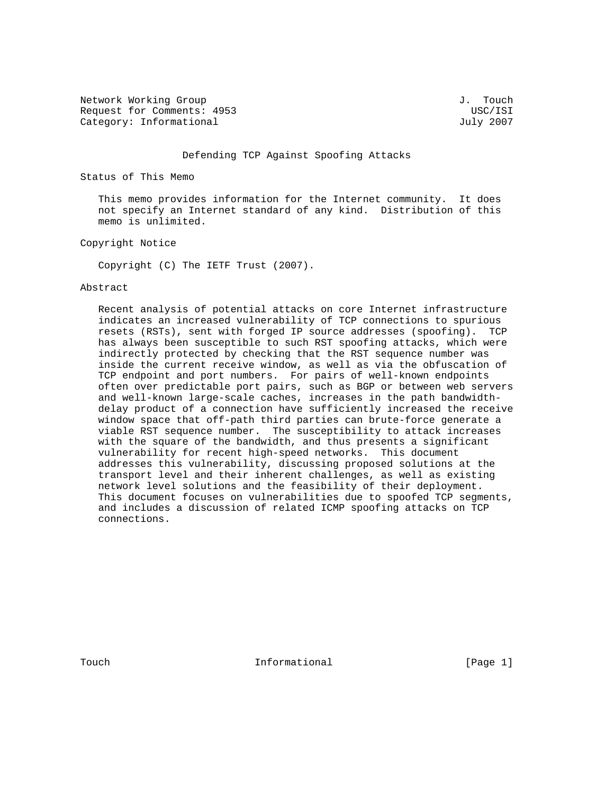Network Working Group J. Touch Request for Comments: 4953 USC/ISI Category: Informational and Category: Informational and Category: July 2007

#### Defending TCP Against Spoofing Attacks

Status of This Memo

 This memo provides information for the Internet community. It does not specify an Internet standard of any kind. Distribution of this memo is unlimited.

Copyright Notice

Copyright (C) The IETF Trust (2007).

#### Abstract

 Recent analysis of potential attacks on core Internet infrastructure indicates an increased vulnerability of TCP connections to spurious resets (RSTs), sent with forged IP source addresses (spoofing). TCP has always been susceptible to such RST spoofing attacks, which were indirectly protected by checking that the RST sequence number was inside the current receive window, as well as via the obfuscation of TCP endpoint and port numbers. For pairs of well-known endpoints often over predictable port pairs, such as BGP or between web servers and well-known large-scale caches, increases in the path bandwidth delay product of a connection have sufficiently increased the receive window space that off-path third parties can brute-force generate a viable RST sequence number. The susceptibility to attack increases with the square of the bandwidth, and thus presents a significant vulnerability for recent high-speed networks. This document addresses this vulnerability, discussing proposed solutions at the transport level and their inherent challenges, as well as existing network level solutions and the feasibility of their deployment. This document focuses on vulnerabilities due to spoofed TCP segments, and includes a discussion of related ICMP spoofing attacks on TCP connections.

Touch **Informational** Informational [Page 1]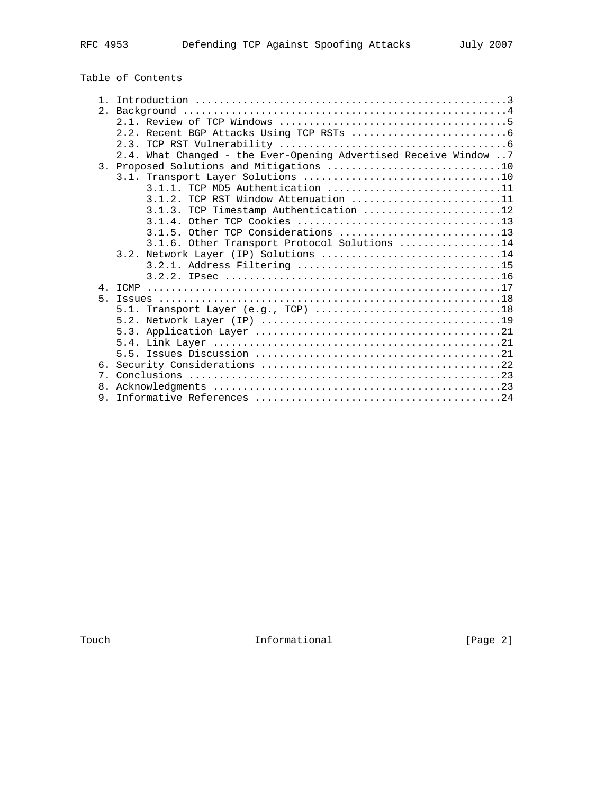| Table of Contents |  |  |  |
|-------------------|--|--|--|
|-------------------|--|--|--|

|       | 2.4. What Changed - the Ever-Opening Advertised Receive Window 7 |
|-------|------------------------------------------------------------------|
|       |                                                                  |
|       |                                                                  |
|       | $3.1.1.$ TCP MD5 Authentication 11                               |
|       | $3.1.2$ . TCP RST Window Attenuation 11                          |
|       | 3.1.3. TCP Timestamp Authentication 12                           |
|       |                                                                  |
|       | 3.1.5. Other TCP Considerations 13                               |
|       | 3.1.6. Other Transport Protocol Solutions 14                     |
|       | 3.2. Network Layer (IP) Solutions 14                             |
|       |                                                                  |
|       |                                                                  |
|       |                                                                  |
| $5 -$ |                                                                  |
|       |                                                                  |
|       |                                                                  |
|       |                                                                  |
|       |                                                                  |
|       |                                                                  |
|       |                                                                  |
|       |                                                                  |
|       |                                                                  |
|       |                                                                  |
|       |                                                                  |

Touch 1nformational 1.1 [Page 2]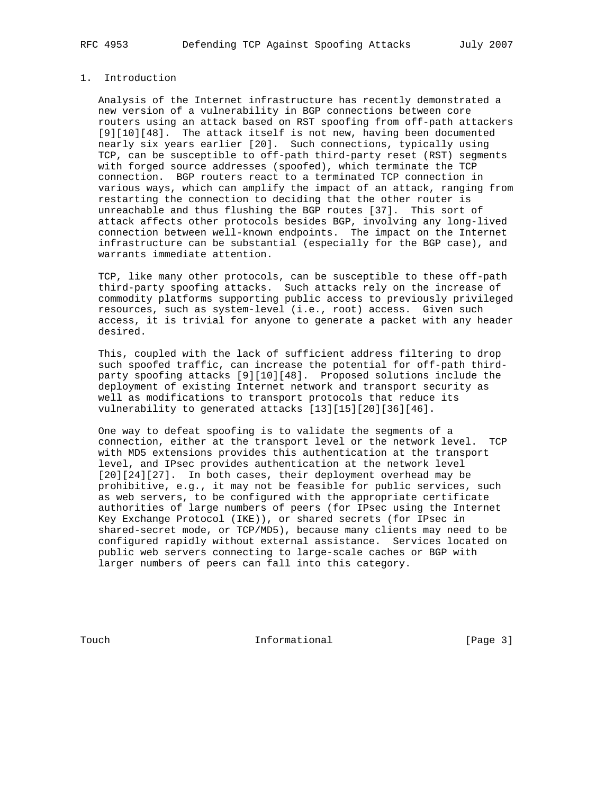## 1. Introduction

 Analysis of the Internet infrastructure has recently demonstrated a new version of a vulnerability in BGP connections between core routers using an attack based on RST spoofing from off-path attackers [9][10][48]. The attack itself is not new, having been documented nearly six years earlier [20]. Such connections, typically using TCP, can be susceptible to off-path third-party reset (RST) segments with forged source addresses (spoofed), which terminate the TCP connection. BGP routers react to a terminated TCP connection in various ways, which can amplify the impact of an attack, ranging from restarting the connection to deciding that the other router is unreachable and thus flushing the BGP routes [37]. This sort of attack affects other protocols besides BGP, involving any long-lived connection between well-known endpoints. The impact on the Internet infrastructure can be substantial (especially for the BGP case), and warrants immediate attention.

 TCP, like many other protocols, can be susceptible to these off-path third-party spoofing attacks. Such attacks rely on the increase of commodity platforms supporting public access to previously privileged resources, such as system-level (i.e., root) access. Given such access, it is trivial for anyone to generate a packet with any header desired.

 This, coupled with the lack of sufficient address filtering to drop such spoofed traffic, can increase the potential for off-path third party spoofing attacks [9][10][48]. Proposed solutions include the deployment of existing Internet network and transport security as well as modifications to transport protocols that reduce its vulnerability to generated attacks [13][15][20][36][46].

 One way to defeat spoofing is to validate the segments of a connection, either at the transport level or the network level. TCP with MD5 extensions provides this authentication at the transport level, and IPsec provides authentication at the network level [20][24][27]. In both cases, their deployment overhead may be prohibitive, e.g., it may not be feasible for public services, such as web servers, to be configured with the appropriate certificate authorities of large numbers of peers (for IPsec using the Internet Key Exchange Protocol (IKE)), or shared secrets (for IPsec in shared-secret mode, or TCP/MD5), because many clients may need to be configured rapidly without external assistance. Services located on public web servers connecting to large-scale caches or BGP with larger numbers of peers can fall into this category.

Touch **Informational Informational** [Page 3]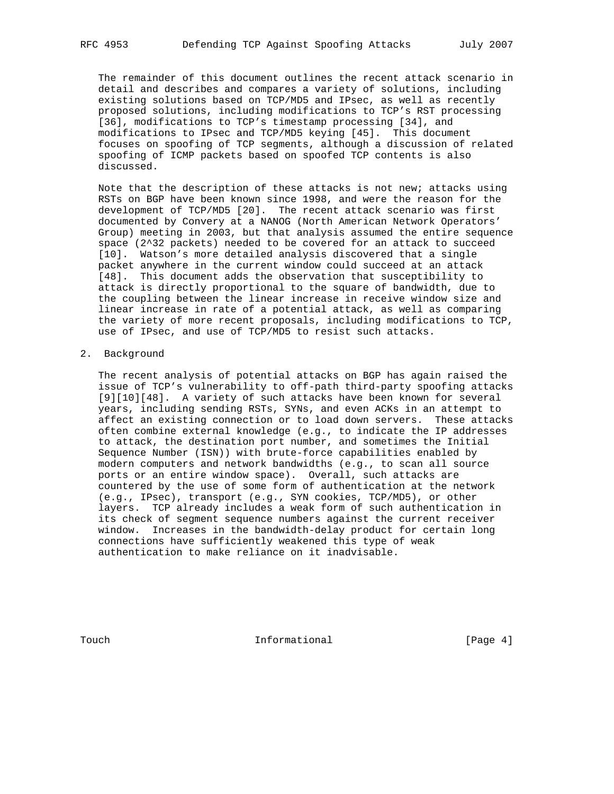The remainder of this document outlines the recent attack scenario in detail and describes and compares a variety of solutions, including existing solutions based on TCP/MD5 and IPsec, as well as recently proposed solutions, including modifications to TCP's RST processing [36], modifications to TCP's timestamp processing [34], and modifications to IPsec and TCP/MD5 keying [45]. This document focuses on spoofing of TCP segments, although a discussion of related spoofing of ICMP packets based on spoofed TCP contents is also discussed.

 Note that the description of these attacks is not new; attacks using RSTs on BGP have been known since 1998, and were the reason for the development of TCP/MD5 [20]. The recent attack scenario was first documented by Convery at a NANOG (North American Network Operators' Group) meeting in 2003, but that analysis assumed the entire sequence space (2^32 packets) needed to be covered for an attack to succeed [10]. Watson's more detailed analysis discovered that a single packet anywhere in the current window could succeed at an attack [48]. This document adds the observation that susceptibility to attack is directly proportional to the square of bandwidth, due to the coupling between the linear increase in receive window size and linear increase in rate of a potential attack, as well as comparing the variety of more recent proposals, including modifications to TCP, use of IPsec, and use of TCP/MD5 to resist such attacks.

2. Background

 The recent analysis of potential attacks on BGP has again raised the issue of TCP's vulnerability to off-path third-party spoofing attacks [9][10][48]. A variety of such attacks have been known for several years, including sending RSTs, SYNs, and even ACKs in an attempt to affect an existing connection or to load down servers. These attacks often combine external knowledge (e.g., to indicate the IP addresses to attack, the destination port number, and sometimes the Initial Sequence Number (ISN)) with brute-force capabilities enabled by modern computers and network bandwidths (e.g., to scan all source ports or an entire window space). Overall, such attacks are countered by the use of some form of authentication at the network (e.g., IPsec), transport (e.g., SYN cookies, TCP/MD5), or other layers. TCP already includes a weak form of such authentication in its check of segment sequence numbers against the current receiver window. Increases in the bandwidth-delay product for certain long connections have sufficiently weakened this type of weak authentication to make reliance on it inadvisable.

Touch **Informational** Informational [Page 4]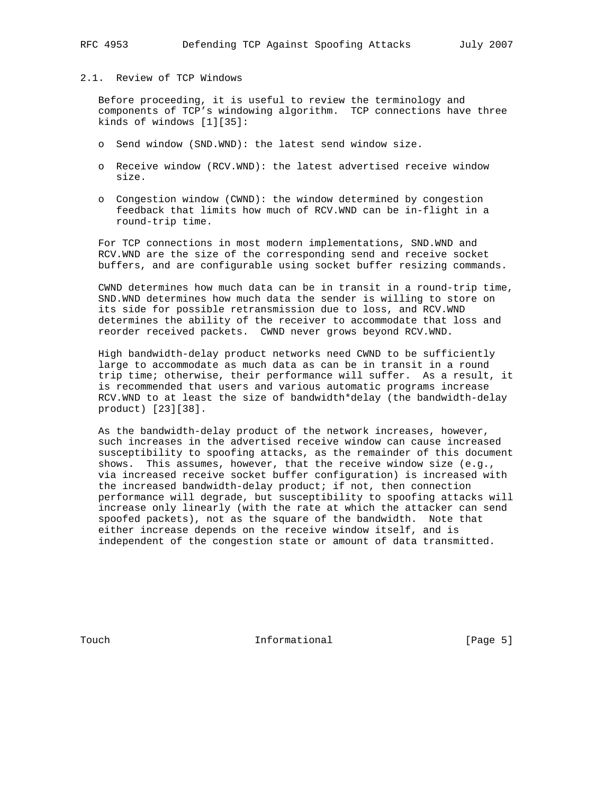## 2.1. Review of TCP Windows

 Before proceeding, it is useful to review the terminology and components of TCP's windowing algorithm. TCP connections have three kinds of windows [1][35]:

- o Send window (SND.WND): the latest send window size.
- o Receive window (RCV.WND): the latest advertised receive window size.
- o Congestion window (CWND): the window determined by congestion feedback that limits how much of RCV.WND can be in-flight in a round-trip time.

 For TCP connections in most modern implementations, SND.WND and RCV.WND are the size of the corresponding send and receive socket buffers, and are configurable using socket buffer resizing commands.

 CWND determines how much data can be in transit in a round-trip time, SND.WND determines how much data the sender is willing to store on its side for possible retransmission due to loss, and RCV.WND determines the ability of the receiver to accommodate that loss and reorder received packets. CWND never grows beyond RCV.WND.

 High bandwidth-delay product networks need CWND to be sufficiently large to accommodate as much data as can be in transit in a round trip time; otherwise, their performance will suffer. As a result, it is recommended that users and various automatic programs increase RCV.WND to at least the size of bandwidth\*delay (the bandwidth-delay product) [23][38].

 As the bandwidth-delay product of the network increases, however, such increases in the advertised receive window can cause increased susceptibility to spoofing attacks, as the remainder of this document shows. This assumes, however, that the receive window size (e.g., via increased receive socket buffer configuration) is increased with the increased bandwidth-delay product; if not, then connection performance will degrade, but susceptibility to spoofing attacks will increase only linearly (with the rate at which the attacker can send spoofed packets), not as the square of the bandwidth. Note that either increase depends on the receive window itself, and is independent of the congestion state or amount of data transmitted.

Touch **Informational** Informational [Page 5]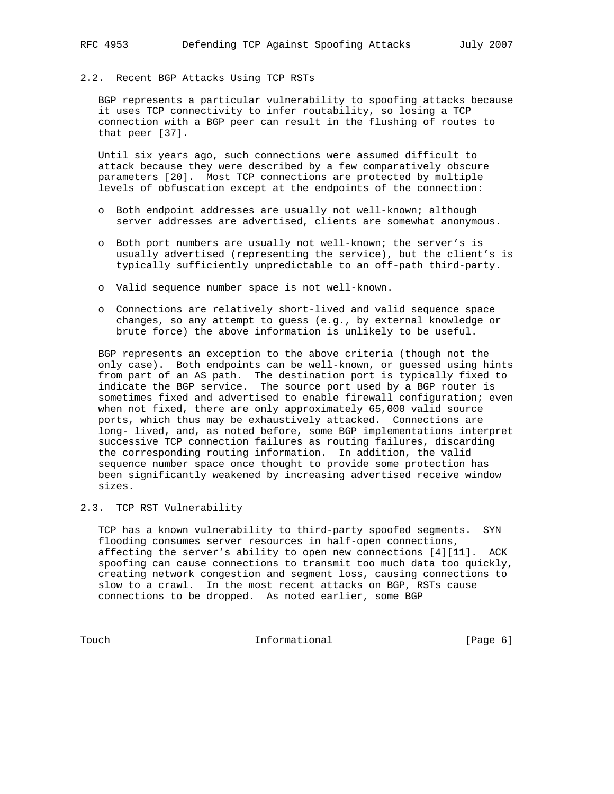# 2.2. Recent BGP Attacks Using TCP RSTs

 BGP represents a particular vulnerability to spoofing attacks because it uses TCP connectivity to infer routability, so losing a TCP connection with a BGP peer can result in the flushing of routes to that peer [37].

 Until six years ago, such connections were assumed difficult to attack because they were described by a few comparatively obscure parameters [20]. Most TCP connections are protected by multiple levels of obfuscation except at the endpoints of the connection:

- o Both endpoint addresses are usually not well-known; although server addresses are advertised, clients are somewhat anonymous.
- o Both port numbers are usually not well-known; the server's is usually advertised (representing the service), but the client's is typically sufficiently unpredictable to an off-path third-party.
- o Valid sequence number space is not well-known.
- o Connections are relatively short-lived and valid sequence space changes, so any attempt to guess (e.g., by external knowledge or brute force) the above information is unlikely to be useful.

 BGP represents an exception to the above criteria (though not the only case). Both endpoints can be well-known, or guessed using hints from part of an AS path. The destination port is typically fixed to indicate the BGP service. The source port used by a BGP router is sometimes fixed and advertised to enable firewall configuration; even when not fixed, there are only approximately 65,000 valid source ports, which thus may be exhaustively attacked. Connections are long- lived, and, as noted before, some BGP implementations interpret successive TCP connection failures as routing failures, discarding the corresponding routing information. In addition, the valid sequence number space once thought to provide some protection has been significantly weakened by increasing advertised receive window sizes.

#### 2.3. TCP RST Vulnerability

 TCP has a known vulnerability to third-party spoofed segments. SYN flooding consumes server resources in half-open connections, affecting the server's ability to open new connections [4][11]. ACK spoofing can cause connections to transmit too much data too quickly, creating network congestion and segment loss, causing connections to slow to a crawl. In the most recent attacks on BGP, RSTs cause connections to be dropped. As noted earlier, some BGP

Touch **Informational Informational** [Page 6]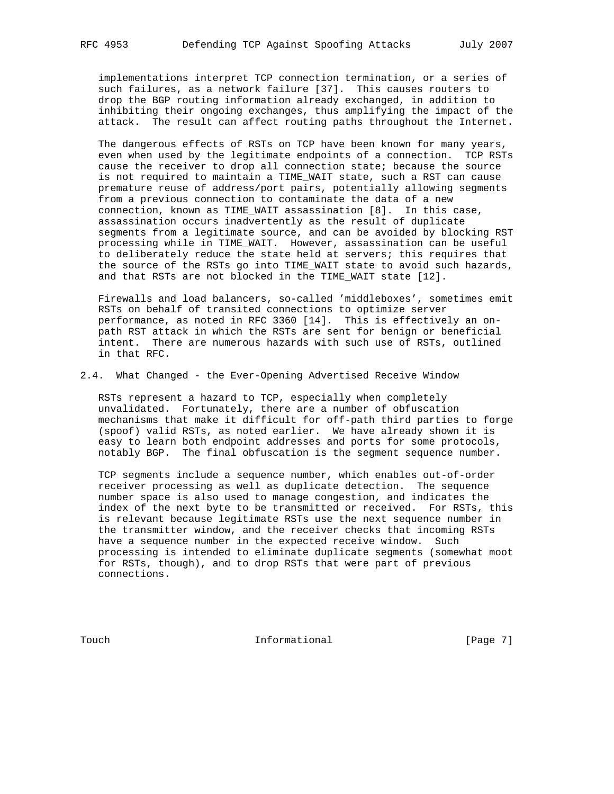implementations interpret TCP connection termination, or a series of such failures, as a network failure [37]. This causes routers to drop the BGP routing information already exchanged, in addition to inhibiting their ongoing exchanges, thus amplifying the impact of the attack. The result can affect routing paths throughout the Internet.

 The dangerous effects of RSTs on TCP have been known for many years, even when used by the legitimate endpoints of a connection. TCP RSTs cause the receiver to drop all connection state; because the source is not required to maintain a TIME\_WAIT state, such a RST can cause premature reuse of address/port pairs, potentially allowing segments from a previous connection to contaminate the data of a new connection, known as TIME\_WAIT assassination [8]. In this case, assassination occurs inadvertently as the result of duplicate segments from a legitimate source, and can be avoided by blocking RST processing while in TIME\_WAIT. However, assassination can be useful to deliberately reduce the state held at servers; this requires that the source of the RSTs go into TIME\_WAIT state to avoid such hazards, and that RSTs are not blocked in the TIME\_WAIT state [12].

 Firewalls and load balancers, so-called 'middleboxes', sometimes emit RSTs on behalf of transited connections to optimize server performance, as noted in RFC 3360 [14]. This is effectively an on path RST attack in which the RSTs are sent for benign or beneficial intent. There are numerous hazards with such use of RSTs, outlined in that RFC.

## 2.4. What Changed - the Ever-Opening Advertised Receive Window

 RSTs represent a hazard to TCP, especially when completely unvalidated. Fortunately, there are a number of obfuscation mechanisms that make it difficult for off-path third parties to forge (spoof) valid RSTs, as noted earlier. We have already shown it is easy to learn both endpoint addresses and ports for some protocols, notably BGP. The final obfuscation is the segment sequence number.

 TCP segments include a sequence number, which enables out-of-order receiver processing as well as duplicate detection. The sequence number space is also used to manage congestion, and indicates the index of the next byte to be transmitted or received. For RSTs, this is relevant because legitimate RSTs use the next sequence number in the transmitter window, and the receiver checks that incoming RSTs have a sequence number in the expected receive window. Such processing is intended to eliminate duplicate segments (somewhat moot for RSTs, though), and to drop RSTs that were part of previous connections.

Touch **Informational** Informational [Page 7]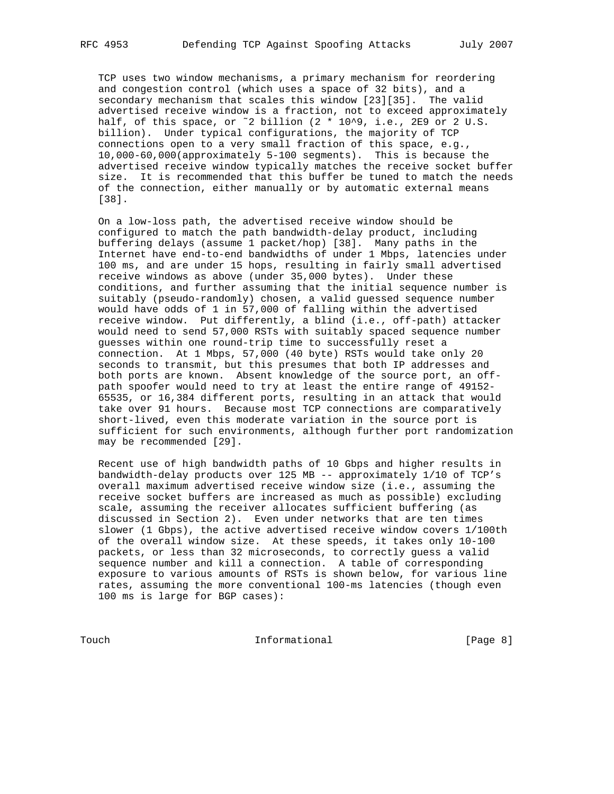TCP uses two window mechanisms, a primary mechanism for reordering and congestion control (which uses a space of 32 bits), and a secondary mechanism that scales this window [23][35]. The valid advertised receive window is a fraction, not to exceed approximately half, of this space, or ~2 billion (2 \* 10^9, i.e., 2E9 or 2 U.S. billion). Under typical configurations, the majority of TCP connections open to a very small fraction of this space, e.g., 10,000-60,000(approximately 5-100 segments). This is because the advertised receive window typically matches the receive socket buffer size. It is recommended that this buffer be tuned to match the needs of the connection, either manually or by automatic external means [38].

 On a low-loss path, the advertised receive window should be configured to match the path bandwidth-delay product, including buffering delays (assume 1 packet/hop) [38]. Many paths in the Internet have end-to-end bandwidths of under 1 Mbps, latencies under 100 ms, and are under 15 hops, resulting in fairly small advertised receive windows as above (under 35,000 bytes). Under these conditions, and further assuming that the initial sequence number is suitably (pseudo-randomly) chosen, a valid guessed sequence number would have odds of 1 in 57,000 of falling within the advertised receive window. Put differently, a blind (i.e., off-path) attacker would need to send 57,000 RSTs with suitably spaced sequence number guesses within one round-trip time to successfully reset a connection. At 1 Mbps, 57,000 (40 byte) RSTs would take only 20 seconds to transmit, but this presumes that both IP addresses and both ports are known. Absent knowledge of the source port, an off path spoofer would need to try at least the entire range of 49152- 65535, or 16,384 different ports, resulting in an attack that would take over 91 hours. Because most TCP connections are comparatively short-lived, even this moderate variation in the source port is sufficient for such environments, although further port randomization may be recommended [29].

 Recent use of high bandwidth paths of 10 Gbps and higher results in bandwidth-delay products over 125 MB -- approximately 1/10 of TCP's overall maximum advertised receive window size (i.e., assuming the receive socket buffers are increased as much as possible) excluding scale, assuming the receiver allocates sufficient buffering (as discussed in Section 2). Even under networks that are ten times slower (1 Gbps), the active advertised receive window covers 1/100th of the overall window size. At these speeds, it takes only 10-100 packets, or less than 32 microseconds, to correctly guess a valid sequence number and kill a connection. A table of corresponding exposure to various amounts of RSTs is shown below, for various line rates, assuming the more conventional 100-ms latencies (though even 100 ms is large for BGP cases):

Touch **Informational Informational** [Page 8]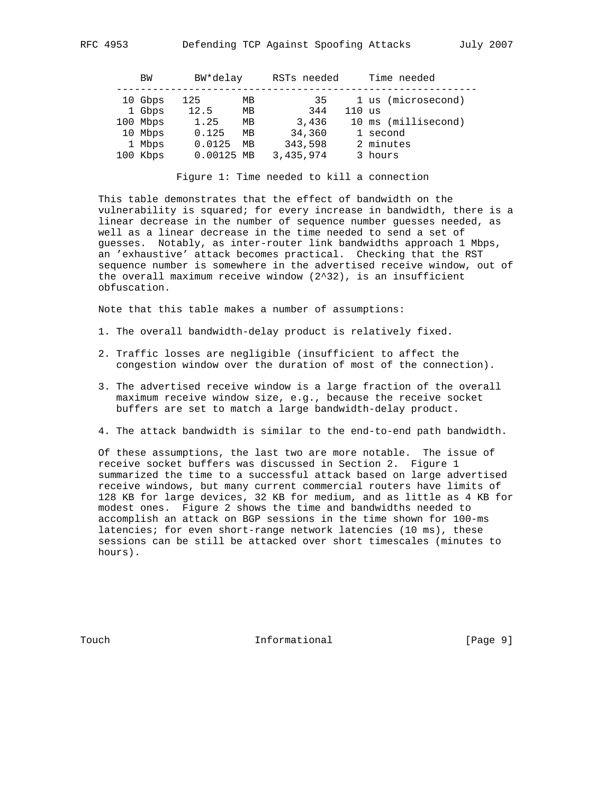| ΒW       | BW*delay   |    | RSTs needed |          | Time needed         |
|----------|------------|----|-------------|----------|---------------------|
| 10 Gbps  | 125        | MВ | 35          |          | 1 us (microsecond)  |
| 1 Gbps   | 12.5       | MВ | 344         | $110$ us |                     |
| 100 Mbps | 1.25       | МB | 3,436       |          | 10 ms (millisecond) |
| 10 Mbps  | 0.125      | MВ | 34,360      |          | 1 second            |
| 1 Mbps   | 0.0125     | MВ | 343,598     |          | 2 minutes           |
| 100 Kbps | 0.00125 MB |    | 3,435,974   |          | 3 hours             |

Figure 1: Time needed to kill a connection

 This table demonstrates that the effect of bandwidth on the vulnerability is squared; for every increase in bandwidth, there is a linear decrease in the number of sequence number guesses needed, as well as a linear decrease in the time needed to send a set of guesses. Notably, as inter-router link bandwidths approach 1 Mbps, an 'exhaustive' attack becomes practical. Checking that the RST sequence number is somewhere in the advertised receive window, out of the overall maximum receive window (2^32), is an insufficient obfuscation.

Note that this table makes a number of assumptions:

- 1. The overall bandwidth-delay product is relatively fixed.
- 2. Traffic losses are negligible (insufficient to affect the congestion window over the duration of most of the connection).
- 3. The advertised receive window is a large fraction of the overall maximum receive window size, e.g., because the receive socket buffers are set to match a large bandwidth-delay product.
- 4. The attack bandwidth is similar to the end-to-end path bandwidth.

 Of these assumptions, the last two are more notable. The issue of receive socket buffers was discussed in Section 2. Figure 1 summarized the time to a successful attack based on large advertised receive windows, but many current commercial routers have limits of 128 KB for large devices, 32 KB for medium, and as little as 4 KB for modest ones. Figure 2 shows the time and bandwidths needed to accomplish an attack on BGP sessions in the time shown for 100-ms latencies; for even short-range network latencies (10 ms), these sessions can be still be attacked over short timescales (minutes to hours).

Touch **Informational Informational** [Page 9]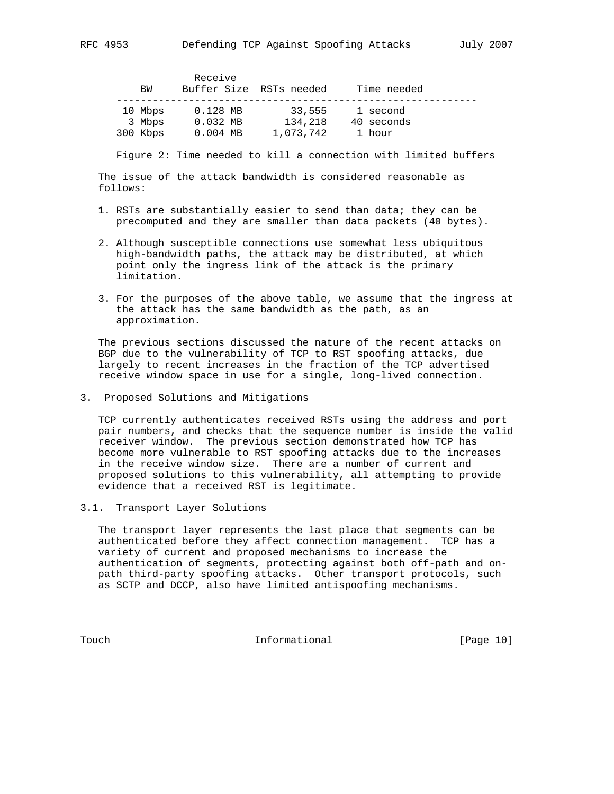| ВW                | Receive                  | Buffer Size RSTs needed | Time needed            |  |
|-------------------|--------------------------|-------------------------|------------------------|--|
| 10 Mbps<br>3 Mbps | $0.128$ MB<br>$0.032$ MB | 33,555<br>134,218       | 1 second<br>40 seconds |  |
| 300 Kbps          | $0.004$ MB               | 1,073,742               | 1 hour                 |  |

Figure 2: Time needed to kill a connection with limited buffers

 The issue of the attack bandwidth is considered reasonable as follows:

- 1. RSTs are substantially easier to send than data; they can be precomputed and they are smaller than data packets (40 bytes).
- 2. Although susceptible connections use somewhat less ubiquitous high-bandwidth paths, the attack may be distributed, at which point only the ingress link of the attack is the primary limitation.
- 3. For the purposes of the above table, we assume that the ingress at the attack has the same bandwidth as the path, as an approximation.

 The previous sections discussed the nature of the recent attacks on BGP due to the vulnerability of TCP to RST spoofing attacks, due largely to recent increases in the fraction of the TCP advertised receive window space in use for a single, long-lived connection.

3. Proposed Solutions and Mitigations

 TCP currently authenticates received RSTs using the address and port pair numbers, and checks that the sequence number is inside the valid receiver window. The previous section demonstrated how TCP has become more vulnerable to RST spoofing attacks due to the increases in the receive window size. There are a number of current and proposed solutions to this vulnerability, all attempting to provide evidence that a received RST is legitimate.

3.1. Transport Layer Solutions

 The transport layer represents the last place that segments can be authenticated before they affect connection management. TCP has a variety of current and proposed mechanisms to increase the authentication of segments, protecting against both off-path and on path third-party spoofing attacks. Other transport protocols, such as SCTP and DCCP, also have limited antispoofing mechanisms.

Touch **Informational Informational** [Page 10]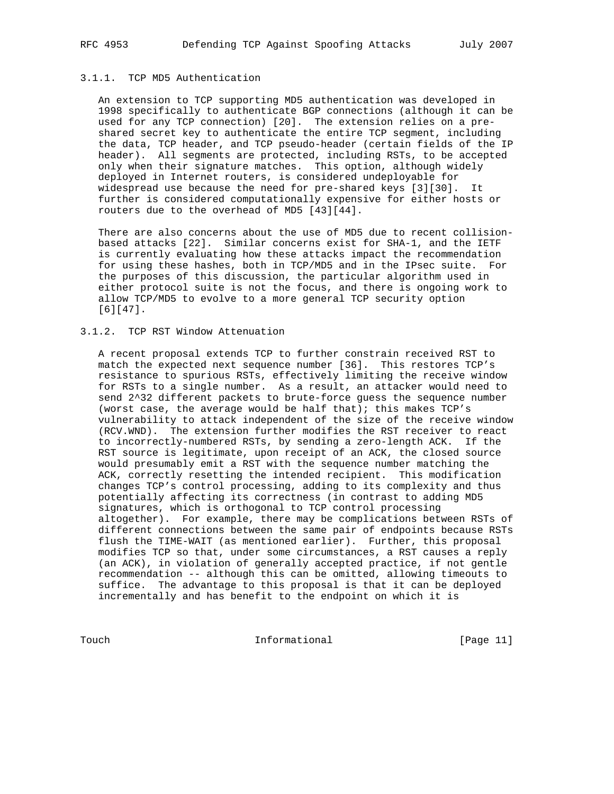## 3.1.1. TCP MD5 Authentication

 An extension to TCP supporting MD5 authentication was developed in 1998 specifically to authenticate BGP connections (although it can be used for any TCP connection) [20]. The extension relies on a pre shared secret key to authenticate the entire TCP segment, including the data, TCP header, and TCP pseudo-header (certain fields of the IP header). All segments are protected, including RSTs, to be accepted only when their signature matches. This option, although widely deployed in Internet routers, is considered undeployable for widespread use because the need for pre-shared keys [3][30]. It further is considered computationally expensive for either hosts or routers due to the overhead of MD5 [43][44].

 There are also concerns about the use of MD5 due to recent collision based attacks [22]. Similar concerns exist for SHA-1, and the IETF is currently evaluating how these attacks impact the recommendation for using these hashes, both in TCP/MD5 and in the IPsec suite. For the purposes of this discussion, the particular algorithm used in either protocol suite is not the focus, and there is ongoing work to allow TCP/MD5 to evolve to a more general TCP security option [6][47].

# 3.1.2. TCP RST Window Attenuation

 A recent proposal extends TCP to further constrain received RST to match the expected next sequence number [36]. This restores TCP's resistance to spurious RSTs, effectively limiting the receive window for RSTs to a single number. As a result, an attacker would need to send 2^32 different packets to brute-force guess the sequence number (worst case, the average would be half that); this makes TCP's vulnerability to attack independent of the size of the receive window (RCV.WND). The extension further modifies the RST receiver to react to incorrectly-numbered RSTs, by sending a zero-length ACK. If the RST source is legitimate, upon receipt of an ACK, the closed source would presumably emit a RST with the sequence number matching the ACK, correctly resetting the intended recipient. This modification changes TCP's control processing, adding to its complexity and thus potentially affecting its correctness (in contrast to adding MD5 signatures, which is orthogonal to TCP control processing altogether). For example, there may be complications between RSTs of different connections between the same pair of endpoints because RSTs flush the TIME-WAIT (as mentioned earlier). Further, this proposal modifies TCP so that, under some circumstances, a RST causes a reply (an ACK), in violation of generally accepted practice, if not gentle recommendation -- although this can be omitted, allowing timeouts to suffice. The advantage to this proposal is that it can be deployed incrementally and has benefit to the endpoint on which it is

Touch Informational [Page 11]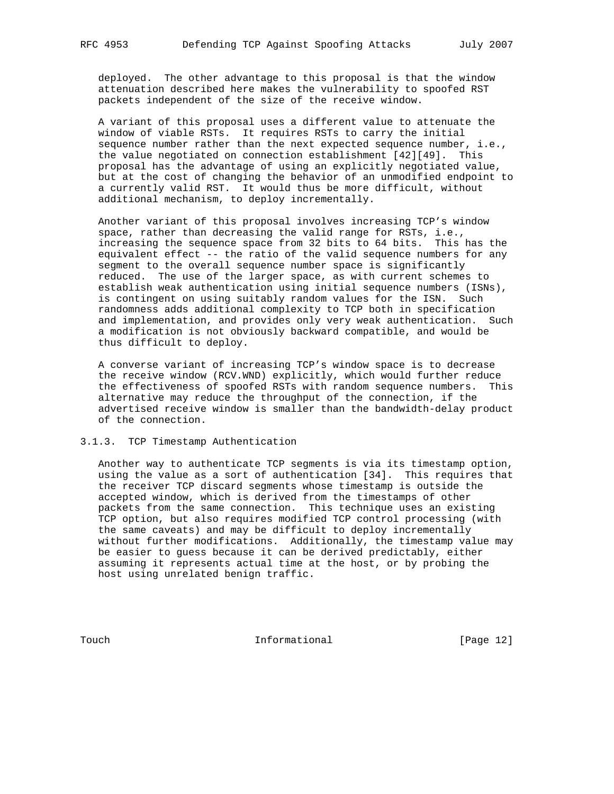deployed. The other advantage to this proposal is that the window attenuation described here makes the vulnerability to spoofed RST packets independent of the size of the receive window.

 A variant of this proposal uses a different value to attenuate the window of viable RSTs. It requires RSTs to carry the initial sequence number rather than the next expected sequence number, i.e., the value negotiated on connection establishment [42][49]. This proposal has the advantage of using an explicitly negotiated value, but at the cost of changing the behavior of an unmodified endpoint to a currently valid RST. It would thus be more difficult, without additional mechanism, to deploy incrementally.

 Another variant of this proposal involves increasing TCP's window space, rather than decreasing the valid range for RSTs, i.e., increasing the sequence space from 32 bits to 64 bits. This has the equivalent effect -- the ratio of the valid sequence numbers for any segment to the overall sequence number space is significantly reduced. The use of the larger space, as with current schemes to establish weak authentication using initial sequence numbers (ISNs), is contingent on using suitably random values for the ISN. Such randomness adds additional complexity to TCP both in specification and implementation, and provides only very weak authentication. Such a modification is not obviously backward compatible, and would be thus difficult to deploy.

 A converse variant of increasing TCP's window space is to decrease the receive window (RCV.WND) explicitly, which would further reduce the effectiveness of spoofed RSTs with random sequence numbers. This alternative may reduce the throughput of the connection, if the advertised receive window is smaller than the bandwidth-delay product of the connection.

#### 3.1.3. TCP Timestamp Authentication

 Another way to authenticate TCP segments is via its timestamp option, using the value as a sort of authentication [34]. This requires that the receiver TCP discard segments whose timestamp is outside the accepted window, which is derived from the timestamps of other packets from the same connection. This technique uses an existing TCP option, but also requires modified TCP control processing (with the same caveats) and may be difficult to deploy incrementally without further modifications. Additionally, the timestamp value may be easier to guess because it can be derived predictably, either assuming it represents actual time at the host, or by probing the host using unrelated benign traffic.

Touch **Informational Informational** [Page 12]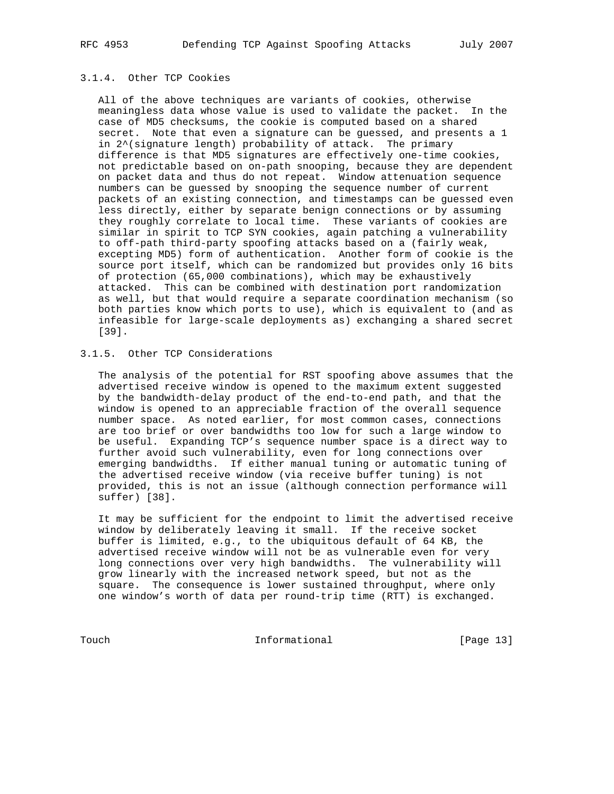## 3.1.4. Other TCP Cookies

 All of the above techniques are variants of cookies, otherwise meaningless data whose value is used to validate the packet. In the case of MD5 checksums, the cookie is computed based on a shared secret. Note that even a signature can be guessed, and presents a 1 in 2^(signature length) probability of attack. The primary difference is that MD5 signatures are effectively one-time cookies, not predictable based on on-path snooping, because they are dependent on packet data and thus do not repeat. Window attenuation sequence numbers can be guessed by snooping the sequence number of current packets of an existing connection, and timestamps can be guessed even less directly, either by separate benign connections or by assuming they roughly correlate to local time. These variants of cookies are similar in spirit to TCP SYN cookies, again patching a vulnerability to off-path third-party spoofing attacks based on a (fairly weak, excepting MD5) form of authentication. Another form of cookie is the source port itself, which can be randomized but provides only 16 bits of protection (65,000 combinations), which may be exhaustively attacked. This can be combined with destination port randomization as well, but that would require a separate coordination mechanism (so both parties know which ports to use), which is equivalent to (and as infeasible for large-scale deployments as) exchanging a shared secret [39].

## 3.1.5. Other TCP Considerations

 The analysis of the potential for RST spoofing above assumes that the advertised receive window is opened to the maximum extent suggested by the bandwidth-delay product of the end-to-end path, and that the window is opened to an appreciable fraction of the overall sequence number space. As noted earlier, for most common cases, connections are too brief or over bandwidths too low for such a large window to be useful. Expanding TCP's sequence number space is a direct way to further avoid such vulnerability, even for long connections over emerging bandwidths. If either manual tuning or automatic tuning of the advertised receive window (via receive buffer tuning) is not provided, this is not an issue (although connection performance will suffer) [38].

 It may be sufficient for the endpoint to limit the advertised receive window by deliberately leaving it small. If the receive socket buffer is limited, e.g., to the ubiquitous default of 64 KB, the advertised receive window will not be as vulnerable even for very long connections over very high bandwidths. The vulnerability will grow linearly with the increased network speed, but not as the square. The consequence is lower sustained throughput, where only one window's worth of data per round-trip time (RTT) is exchanged.

Touch Informational [Page 13]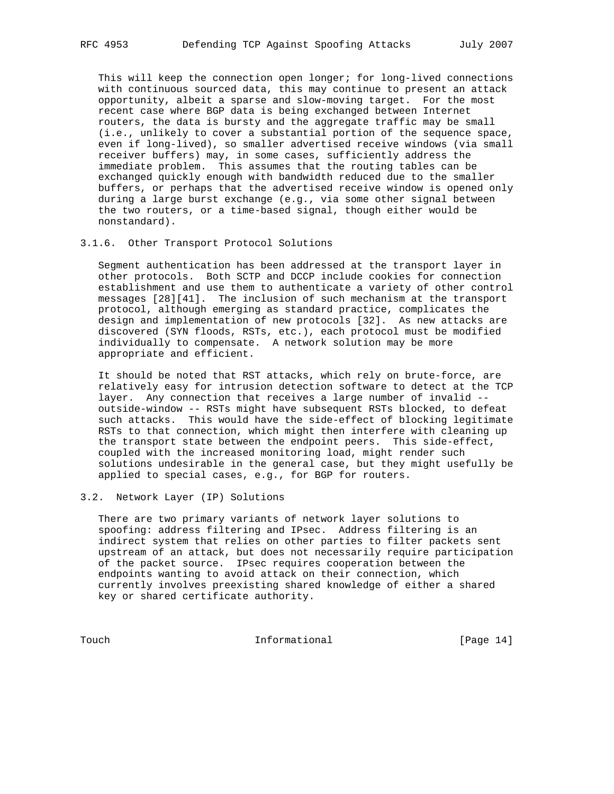This will keep the connection open longer; for long-lived connections with continuous sourced data, this may continue to present an attack opportunity, albeit a sparse and slow-moving target. For the most recent case where BGP data is being exchanged between Internet routers, the data is bursty and the aggregate traffic may be small (i.e., unlikely to cover a substantial portion of the sequence space, even if long-lived), so smaller advertised receive windows (via small receiver buffers) may, in some cases, sufficiently address the immediate problem. This assumes that the routing tables can be exchanged quickly enough with bandwidth reduced due to the smaller buffers, or perhaps that the advertised receive window is opened only during a large burst exchange (e.g., via some other signal between the two routers, or a time-based signal, though either would be nonstandard).

#### 3.1.6. Other Transport Protocol Solutions

 Segment authentication has been addressed at the transport layer in other protocols. Both SCTP and DCCP include cookies for connection establishment and use them to authenticate a variety of other control messages [28][41]. The inclusion of such mechanism at the transport protocol, although emerging as standard practice, complicates the design and implementation of new protocols [32]. As new attacks are discovered (SYN floods, RSTs, etc.), each protocol must be modified individually to compensate. A network solution may be more appropriate and efficient.

 It should be noted that RST attacks, which rely on brute-force, are relatively easy for intrusion detection software to detect at the TCP layer. Any connection that receives a large number of invalid - outside-window -- RSTs might have subsequent RSTs blocked, to defeat such attacks. This would have the side-effect of blocking legitimate RSTs to that connection, which might then interfere with cleaning up the transport state between the endpoint peers. This side-effect, coupled with the increased monitoring load, might render such solutions undesirable in the general case, but they might usefully be applied to special cases, e.g., for BGP for routers.

## 3.2. Network Layer (IP) Solutions

 There are two primary variants of network layer solutions to spoofing: address filtering and IPsec. Address filtering is an indirect system that relies on other parties to filter packets sent upstream of an attack, but does not necessarily require participation of the packet source. IPsec requires cooperation between the endpoints wanting to avoid attack on their connection, which currently involves preexisting shared knowledge of either a shared key or shared certificate authority.

Touch **Informational Informational** [Page 14]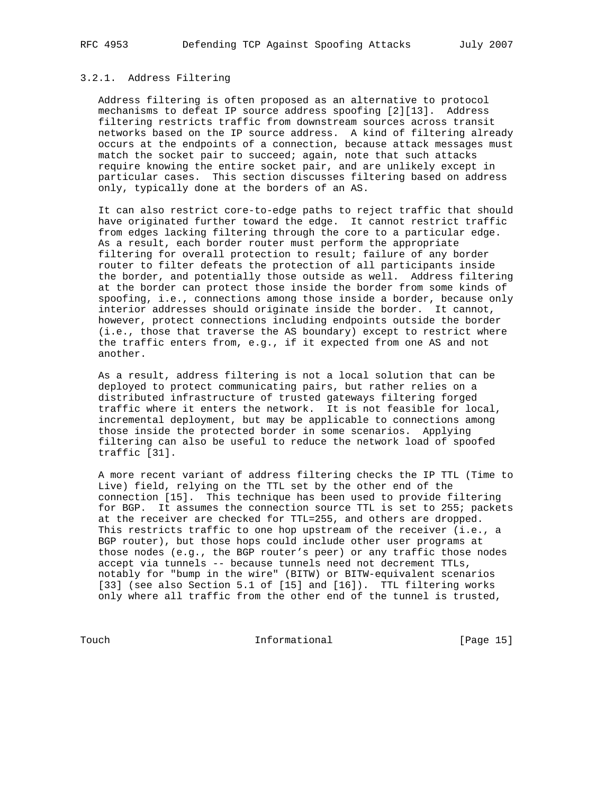#### 3.2.1. Address Filtering

 Address filtering is often proposed as an alternative to protocol mechanisms to defeat IP source address spoofing [2][13]. Address filtering restricts traffic from downstream sources across transit networks based on the IP source address. A kind of filtering already occurs at the endpoints of a connection, because attack messages must match the socket pair to succeed; again, note that such attacks require knowing the entire socket pair, and are unlikely except in particular cases. This section discusses filtering based on address only, typically done at the borders of an AS.

 It can also restrict core-to-edge paths to reject traffic that should have originated further toward the edge. It cannot restrict traffic from edges lacking filtering through the core to a particular edge. As a result, each border router must perform the appropriate filtering for overall protection to result; failure of any border router to filter defeats the protection of all participants inside the border, and potentially those outside as well. Address filtering at the border can protect those inside the border from some kinds of spoofing, i.e., connections among those inside a border, because only interior addresses should originate inside the border. It cannot, however, protect connections including endpoints outside the border (i.e., those that traverse the AS boundary) except to restrict where the traffic enters from, e.g., if it expected from one AS and not another.

 As a result, address filtering is not a local solution that can be deployed to protect communicating pairs, but rather relies on a distributed infrastructure of trusted gateways filtering forged traffic where it enters the network. It is not feasible for local, incremental deployment, but may be applicable to connections among those inside the protected border in some scenarios. Applying filtering can also be useful to reduce the network load of spoofed traffic [31].

 A more recent variant of address filtering checks the IP TTL (Time to Live) field, relying on the TTL set by the other end of the connection [15]. This technique has been used to provide filtering for BGP. It assumes the connection source TTL is set to 255; packets at the receiver are checked for TTL=255, and others are dropped. This restricts traffic to one hop upstream of the receiver (i.e., a BGP router), but those hops could include other user programs at those nodes (e.g., the BGP router's peer) or any traffic those nodes accept via tunnels -- because tunnels need not decrement TTLs, notably for "bump in the wire" (BITW) or BITW-equivalent scenarios [33] (see also Section 5.1 of [15] and [16]). TTL filtering works only where all traffic from the other end of the tunnel is trusted,

Touch Informational [Page 15]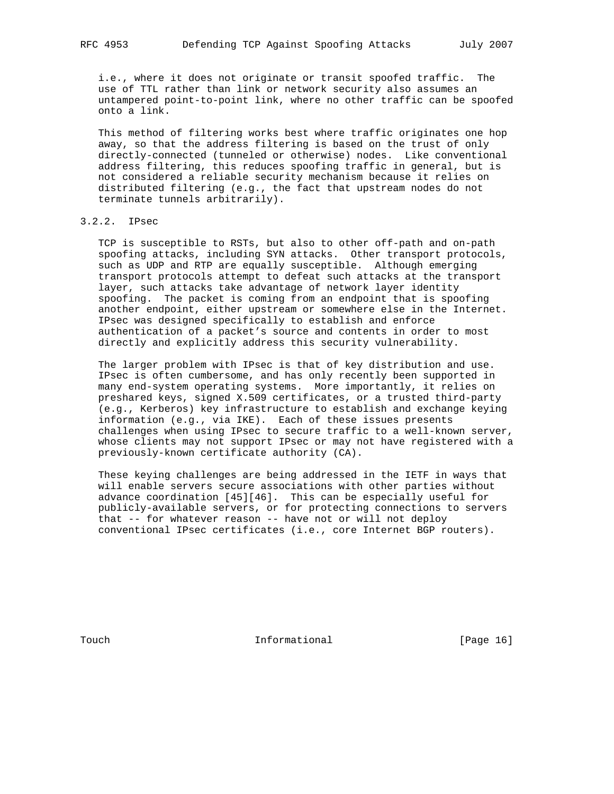i.e., where it does not originate or transit spoofed traffic. The use of TTL rather than link or network security also assumes an untampered point-to-point link, where no other traffic can be spoofed onto a link.

 This method of filtering works best where traffic originates one hop away, so that the address filtering is based on the trust of only directly-connected (tunneled or otherwise) nodes. Like conventional address filtering, this reduces spoofing traffic in general, but is not considered a reliable security mechanism because it relies on distributed filtering (e.g., the fact that upstream nodes do not terminate tunnels arbitrarily).

# 3.2.2. IPsec

 TCP is susceptible to RSTs, but also to other off-path and on-path spoofing attacks, including SYN attacks. Other transport protocols, such as UDP and RTP are equally susceptible. Although emerging transport protocols attempt to defeat such attacks at the transport layer, such attacks take advantage of network layer identity spoofing. The packet is coming from an endpoint that is spoofing another endpoint, either upstream or somewhere else in the Internet. IPsec was designed specifically to establish and enforce authentication of a packet's source and contents in order to most directly and explicitly address this security vulnerability.

 The larger problem with IPsec is that of key distribution and use. IPsec is often cumbersome, and has only recently been supported in many end-system operating systems. More importantly, it relies on preshared keys, signed X.509 certificates, or a trusted third-party (e.g., Kerberos) key infrastructure to establish and exchange keying information (e.g., via IKE). Each of these issues presents challenges when using IPsec to secure traffic to a well-known server, whose clients may not support IPsec or may not have registered with a previously-known certificate authority (CA).

 These keying challenges are being addressed in the IETF in ways that will enable servers secure associations with other parties without advance coordination [45][46]. This can be especially useful for publicly-available servers, or for protecting connections to servers that -- for whatever reason -- have not or will not deploy conventional IPsec certificates (i.e., core Internet BGP routers).

Touch **Informational Informational** [Page 16]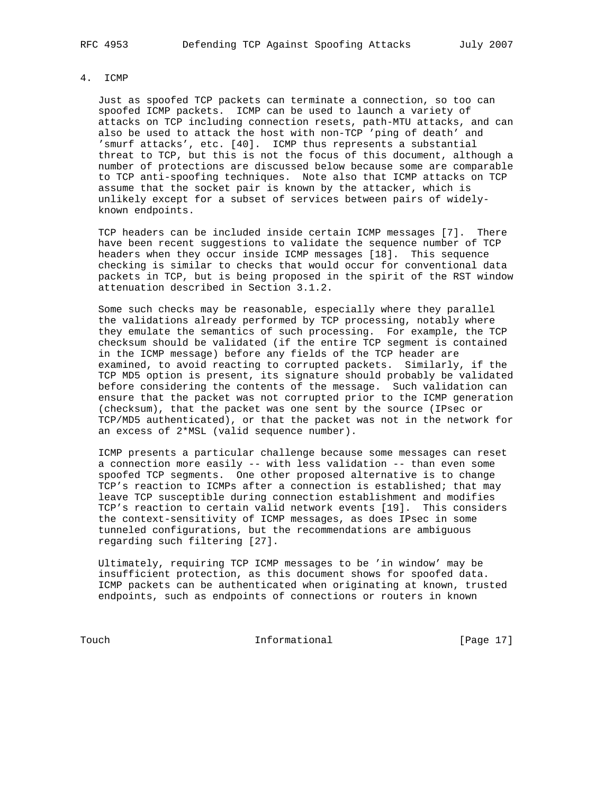## 4. ICMP

 Just as spoofed TCP packets can terminate a connection, so too can spoofed ICMP packets. ICMP can be used to launch a variety of attacks on TCP including connection resets, path-MTU attacks, and can also be used to attack the host with non-TCP 'ping of death' and 'smurf attacks', etc. [40]. ICMP thus represents a substantial threat to TCP, but this is not the focus of this document, although a number of protections are discussed below because some are comparable to TCP anti-spoofing techniques. Note also that ICMP attacks on TCP assume that the socket pair is known by the attacker, which is unlikely except for a subset of services between pairs of widely known endpoints.

 TCP headers can be included inside certain ICMP messages [7]. There have been recent suggestions to validate the sequence number of TCP headers when they occur inside ICMP messages [18]. This sequence checking is similar to checks that would occur for conventional data packets in TCP, but is being proposed in the spirit of the RST window attenuation described in Section 3.1.2.

 Some such checks may be reasonable, especially where they parallel the validations already performed by TCP processing, notably where they emulate the semantics of such processing. For example, the TCP checksum should be validated (if the entire TCP segment is contained in the ICMP message) before any fields of the TCP header are examined, to avoid reacting to corrupted packets. Similarly, if the TCP MD5 option is present, its signature should probably be validated before considering the contents of the message. Such validation can ensure that the packet was not corrupted prior to the ICMP generation (checksum), that the packet was one sent by the source (IPsec or TCP/MD5 authenticated), or that the packet was not in the network for an excess of 2\*MSL (valid sequence number).

 ICMP presents a particular challenge because some messages can reset a connection more easily -- with less validation -- than even some spoofed TCP segments. One other proposed alternative is to change TCP's reaction to ICMPs after a connection is established; that may leave TCP susceptible during connection establishment and modifies TCP's reaction to certain valid network events [19]. This considers the context-sensitivity of ICMP messages, as does IPsec in some tunneled configurations, but the recommendations are ambiguous regarding such filtering [27].

 Ultimately, requiring TCP ICMP messages to be 'in window' may be insufficient protection, as this document shows for spoofed data. ICMP packets can be authenticated when originating at known, trusted endpoints, such as endpoints of connections or routers in known

Touch Informational [Page 17]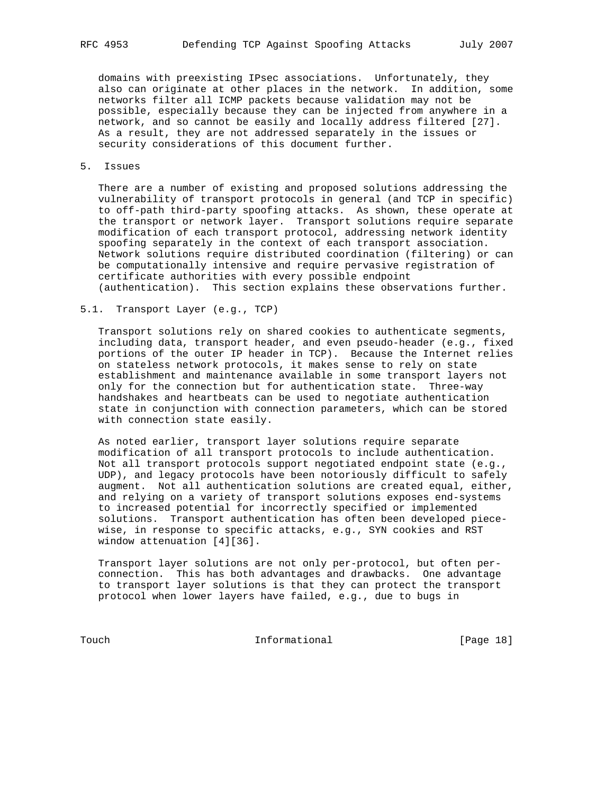domains with preexisting IPsec associations. Unfortunately, they also can originate at other places in the network. In addition, some networks filter all ICMP packets because validation may not be possible, especially because they can be injected from anywhere in a network, and so cannot be easily and locally address filtered [27]. As a result, they are not addressed separately in the issues or security considerations of this document further.

## 5. Issues

 There are a number of existing and proposed solutions addressing the vulnerability of transport protocols in general (and TCP in specific) to off-path third-party spoofing attacks. As shown, these operate at the transport or network layer. Transport solutions require separate modification of each transport protocol, addressing network identity spoofing separately in the context of each transport association. Network solutions require distributed coordination (filtering) or can be computationally intensive and require pervasive registration of certificate authorities with every possible endpoint (authentication). This section explains these observations further.

#### 5.1. Transport Layer (e.g., TCP)

 Transport solutions rely on shared cookies to authenticate segments, including data, transport header, and even pseudo-header (e.g., fixed portions of the outer IP header in TCP). Because the Internet relies on stateless network protocols, it makes sense to rely on state establishment and maintenance available in some transport layers not only for the connection but for authentication state. Three-way handshakes and heartbeats can be used to negotiate authentication state in conjunction with connection parameters, which can be stored with connection state easily.

 As noted earlier, transport layer solutions require separate modification of all transport protocols to include authentication. Not all transport protocols support negotiated endpoint state (e.g., UDP), and legacy protocols have been notoriously difficult to safely augment. Not all authentication solutions are created equal, either, and relying on a variety of transport solutions exposes end-systems to increased potential for incorrectly specified or implemented solutions. Transport authentication has often been developed piece wise, in response to specific attacks, e.g., SYN cookies and RST window attenuation [4][36].

 Transport layer solutions are not only per-protocol, but often per connection. This has both advantages and drawbacks. One advantage to transport layer solutions is that they can protect the transport protocol when lower layers have failed, e.g., due to bugs in

Touch Informational [Page 18]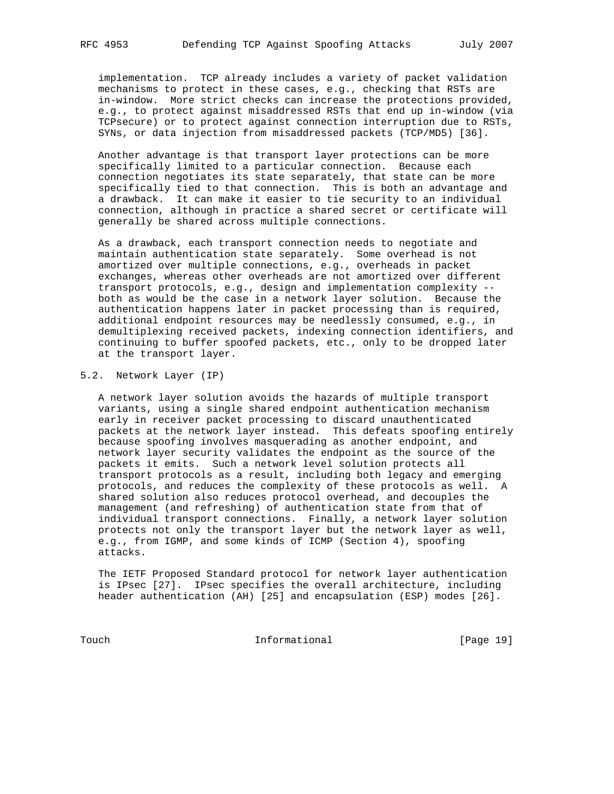implementation. TCP already includes a variety of packet validation mechanisms to protect in these cases, e.g., checking that RSTs are in-window. More strict checks can increase the protections provided, e.g., to protect against misaddressed RSTs that end up in-window (via TCPsecure) or to protect against connection interruption due to RSTs, SYNs, or data injection from misaddressed packets (TCP/MD5) [36].

 Another advantage is that transport layer protections can be more specifically limited to a particular connection. Because each connection negotiates its state separately, that state can be more specifically tied to that connection. This is both an advantage and a drawback. It can make it easier to tie security to an individual connection, although in practice a shared secret or certificate will generally be shared across multiple connections.

 As a drawback, each transport connection needs to negotiate and maintain authentication state separately. Some overhead is not amortized over multiple connections, e.g., overheads in packet exchanges, whereas other overheads are not amortized over different transport protocols, e.g., design and implementation complexity - both as would be the case in a network layer solution. Because the authentication happens later in packet processing than is required, additional endpoint resources may be needlessly consumed, e.g., in demultiplexing received packets, indexing connection identifiers, and continuing to buffer spoofed packets, etc., only to be dropped later at the transport layer.

5.2. Network Layer (IP)

 A network layer solution avoids the hazards of multiple transport variants, using a single shared endpoint authentication mechanism early in receiver packet processing to discard unauthenticated packets at the network layer instead. This defeats spoofing entirely because spoofing involves masquerading as another endpoint, and network layer security validates the endpoint as the source of the packets it emits. Such a network level solution protects all transport protocols as a result, including both legacy and emerging protocols, and reduces the complexity of these protocols as well. A shared solution also reduces protocol overhead, and decouples the management (and refreshing) of authentication state from that of individual transport connections. Finally, a network layer solution protects not only the transport layer but the network layer as well, e.g., from IGMP, and some kinds of ICMP (Section 4), spoofing attacks.

 The IETF Proposed Standard protocol for network layer authentication is IPsec [27]. IPsec specifies the overall architecture, including header authentication (AH) [25] and encapsulation (ESP) modes [26].

Touch Informational [Page 19]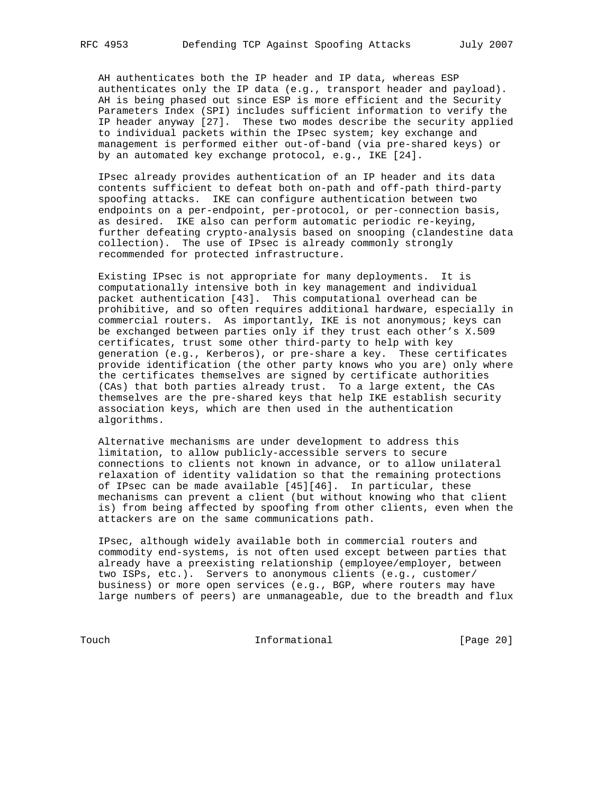AH authenticates both the IP header and IP data, whereas ESP authenticates only the IP data (e.g., transport header and payload). AH is being phased out since ESP is more efficient and the Security Parameters Index (SPI) includes sufficient information to verify the IP header anyway [27]. These two modes describe the security applied to individual packets within the IPsec system; key exchange and management is performed either out-of-band (via pre-shared keys) or by an automated key exchange protocol, e.g., IKE [24].

 IPsec already provides authentication of an IP header and its data contents sufficient to defeat both on-path and off-path third-party spoofing attacks. IKE can configure authentication between two endpoints on a per-endpoint, per-protocol, or per-connection basis, as desired. IKE also can perform automatic periodic re-keying, further defeating crypto-analysis based on snooping (clandestine data collection). The use of IPsec is already commonly strongly recommended for protected infrastructure.

 Existing IPsec is not appropriate for many deployments. It is computationally intensive both in key management and individual packet authentication [43]. This computational overhead can be prohibitive, and so often requires additional hardware, especially in commercial routers. As importantly, IKE is not anonymous; keys can be exchanged between parties only if they trust each other's X.509 certificates, trust some other third-party to help with key generation (e.g., Kerberos), or pre-share a key. These certificates provide identification (the other party knows who you are) only where the certificates themselves are signed by certificate authorities (CAs) that both parties already trust. To a large extent, the CAs themselves are the pre-shared keys that help IKE establish security association keys, which are then used in the authentication algorithms.

 Alternative mechanisms are under development to address this limitation, to allow publicly-accessible servers to secure connections to clients not known in advance, or to allow unilateral relaxation of identity validation so that the remaining protections of IPsec can be made available [45][46]. In particular, these mechanisms can prevent a client (but without knowing who that client is) from being affected by spoofing from other clients, even when the attackers are on the same communications path.

 IPsec, although widely available both in commercial routers and commodity end-systems, is not often used except between parties that already have a preexisting relationship (employee/employer, between two ISPs, etc.). Servers to anonymous clients (e.g., customer/ business) or more open services (e.g., BGP, where routers may have large numbers of peers) are unmanageable, due to the breadth and flux

Touch 1nformational [Page 20]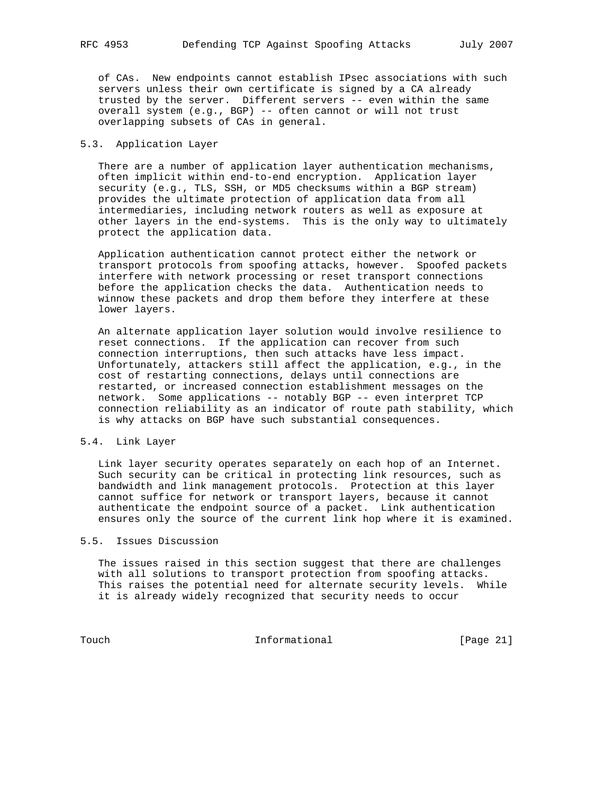of CAs. New endpoints cannot establish IPsec associations with such servers unless their own certificate is signed by a CA already trusted by the server. Different servers -- even within the same overall system (e.g., BGP) -- often cannot or will not trust overlapping subsets of CAs in general.

## 5.3. Application Layer

 There are a number of application layer authentication mechanisms, often implicit within end-to-end encryption. Application layer security (e.g., TLS, SSH, or MD5 checksums within a BGP stream) provides the ultimate protection of application data from all intermediaries, including network routers as well as exposure at other layers in the end-systems. This is the only way to ultimately protect the application data.

 Application authentication cannot protect either the network or transport protocols from spoofing attacks, however. Spoofed packets interfere with network processing or reset transport connections before the application checks the data. Authentication needs to winnow these packets and drop them before they interfere at these lower layers.

 An alternate application layer solution would involve resilience to reset connections. If the application can recover from such connection interruptions, then such attacks have less impact. Unfortunately, attackers still affect the application, e.g., in the cost of restarting connections, delays until connections are restarted, or increased connection establishment messages on the network. Some applications -- notably BGP -- even interpret TCP connection reliability as an indicator of route path stability, which is why attacks on BGP have such substantial consequences.

## 5.4. Link Layer

 Link layer security operates separately on each hop of an Internet. Such security can be critical in protecting link resources, such as bandwidth and link management protocols. Protection at this layer cannot suffice for network or transport layers, because it cannot authenticate the endpoint source of a packet. Link authentication ensures only the source of the current link hop where it is examined.

# 5.5. Issues Discussion

 The issues raised in this section suggest that there are challenges with all solutions to transport protection from spoofing attacks. This raises the potential need for alternate security levels. While it is already widely recognized that security needs to occur

Touch 1nformational [Page 21]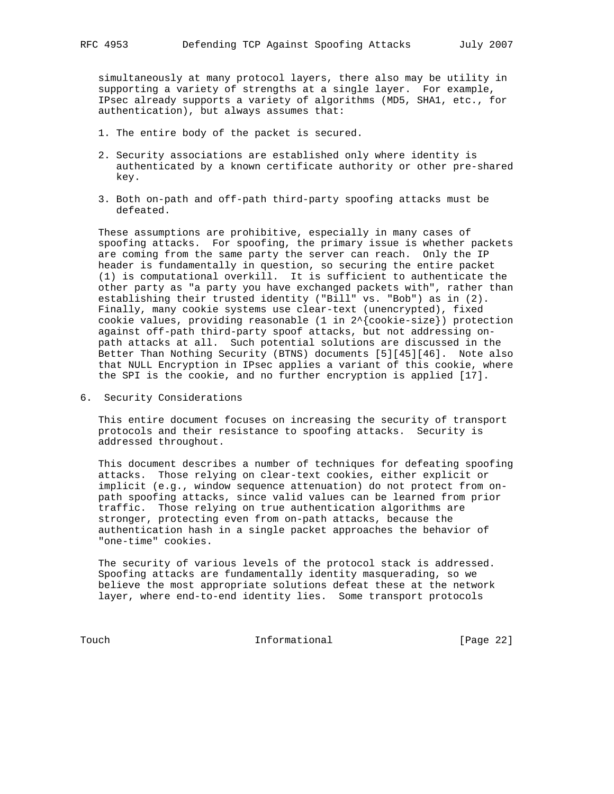simultaneously at many protocol layers, there also may be utility in supporting a variety of strengths at a single layer. For example, IPsec already supports a variety of algorithms (MD5, SHA1, etc., for authentication), but always assumes that:

- 1. The entire body of the packet is secured.
- 2. Security associations are established only where identity is authenticated by a known certificate authority or other pre-shared key.
- 3. Both on-path and off-path third-party spoofing attacks must be defeated.

 These assumptions are prohibitive, especially in many cases of spoofing attacks. For spoofing, the primary issue is whether packets are coming from the same party the server can reach. Only the IP header is fundamentally in question, so securing the entire packet (1) is computational overkill. It is sufficient to authenticate the other party as "a party you have exchanged packets with", rather than establishing their trusted identity ("Bill" vs. "Bob") as in (2). Finally, many cookie systems use clear-text (unencrypted), fixed cookie values, providing reasonable (1 in 2^{cookie-size}) protection against off-path third-party spoof attacks, but not addressing on path attacks at all. Such potential solutions are discussed in the Better Than Nothing Security (BTNS) documents [5][45][46]. Note also that NULL Encryption in IPsec applies a variant of this cookie, where the SPI is the cookie, and no further encryption is applied [17].

6. Security Considerations

 This entire document focuses on increasing the security of transport protocols and their resistance to spoofing attacks. Security is addressed throughout.

 This document describes a number of techniques for defeating spoofing attacks. Those relying on clear-text cookies, either explicit or implicit (e.g., window sequence attenuation) do not protect from on path spoofing attacks, since valid values can be learned from prior traffic. Those relying on true authentication algorithms are stronger, protecting even from on-path attacks, because the authentication hash in a single packet approaches the behavior of "one-time" cookies.

 The security of various levels of the protocol stack is addressed. Spoofing attacks are fundamentally identity masquerading, so we believe the most appropriate solutions defeat these at the network layer, where end-to-end identity lies. Some transport protocols

Touch 1nformational [Page 22]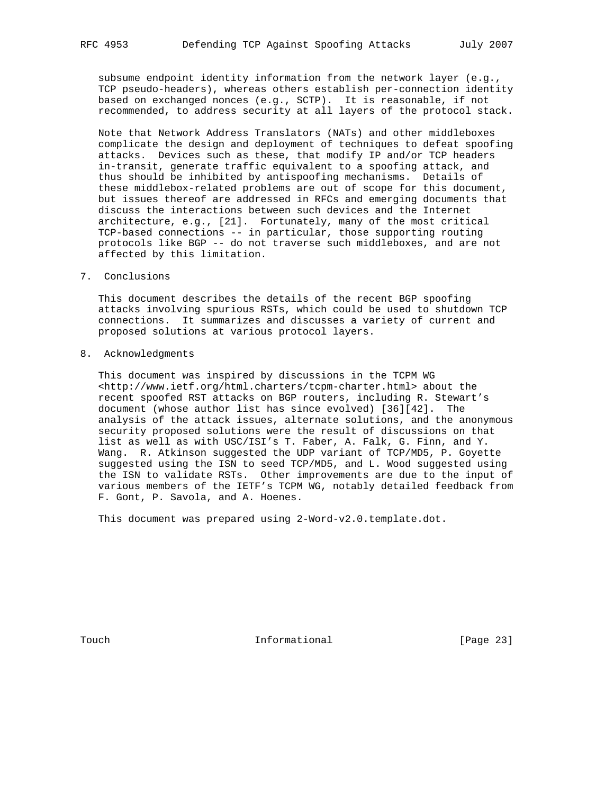subsume endpoint identity information from the network layer (e.g., TCP pseudo-headers), whereas others establish per-connection identity based on exchanged nonces (e.g., SCTP). It is reasonable, if not recommended, to address security at all layers of the protocol stack.

 Note that Network Address Translators (NATs) and other middleboxes complicate the design and deployment of techniques to defeat spoofing attacks. Devices such as these, that modify IP and/or TCP headers in-transit, generate traffic equivalent to a spoofing attack, and thus should be inhibited by antispoofing mechanisms. Details of these middlebox-related problems are out of scope for this document, but issues thereof are addressed in RFCs and emerging documents that discuss the interactions between such devices and the Internet architecture, e.g., [21]. Fortunately, many of the most critical TCP-based connections -- in particular, those supporting routing protocols like BGP -- do not traverse such middleboxes, and are not affected by this limitation.

7. Conclusions

 This document describes the details of the recent BGP spoofing attacks involving spurious RSTs, which could be used to shutdown TCP connections. It summarizes and discusses a variety of current and proposed solutions at various protocol layers.

8. Acknowledgments

 This document was inspired by discussions in the TCPM WG <http://www.ietf.org/html.charters/tcpm-charter.html> about the recent spoofed RST attacks on BGP routers, including R. Stewart's document (whose author list has since evolved) [36][42]. The analysis of the attack issues, alternate solutions, and the anonymous security proposed solutions were the result of discussions on that list as well as with USC/ISI's T. Faber, A. Falk, G. Finn, and Y. Wang. R. Atkinson suggested the UDP variant of TCP/MD5, P. Goyette suggested using the ISN to seed TCP/MD5, and L. Wood suggested using the ISN to validate RSTs. Other improvements are due to the input of various members of the IETF's TCPM WG, notably detailed feedback from F. Gont, P. Savola, and A. Hoenes.

This document was prepared using 2-Word-v2.0.template.dot.

Touch **Informational Informational** [Page 23]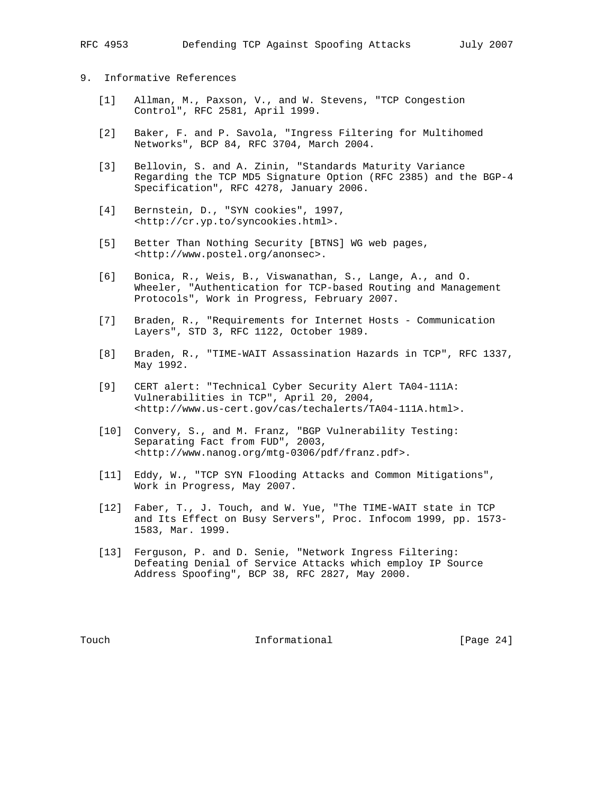## 9. Informative References

- [1] Allman, M., Paxson, V., and W. Stevens, "TCP Congestion Control", RFC 2581, April 1999.
- [2] Baker, F. and P. Savola, "Ingress Filtering for Multihomed Networks", BCP 84, RFC 3704, March 2004.
- [3] Bellovin, S. and A. Zinin, "Standards Maturity Variance Regarding the TCP MD5 Signature Option (RFC 2385) and the BGP-4 Specification", RFC 4278, January 2006.
- [4] Bernstein, D., "SYN cookies", 1997, <http://cr.yp.to/syncookies.html>.
- [5] Better Than Nothing Security [BTNS] WG web pages, <http://www.postel.org/anonsec>.
- [6] Bonica, R., Weis, B., Viswanathan, S., Lange, A., and O. Wheeler, "Authentication for TCP-based Routing and Management Protocols", Work in Progress, February 2007.
- [7] Braden, R., "Requirements for Internet Hosts Communication Layers", STD 3, RFC 1122, October 1989.
- [8] Braden, R., "TIME-WAIT Assassination Hazards in TCP", RFC 1337, May 1992.
- [9] CERT alert: "Technical Cyber Security Alert TA04-111A: Vulnerabilities in TCP", April 20, 2004, <http://www.us-cert.gov/cas/techalerts/TA04-111A.html>.
- [10] Convery, S., and M. Franz, "BGP Vulnerability Testing: Separating Fact from FUD", 2003, <http://www.nanog.org/mtg-0306/pdf/franz.pdf>.
- [11] Eddy, W., "TCP SYN Flooding Attacks and Common Mitigations", Work in Progress, May 2007.
- [12] Faber, T., J. Touch, and W. Yue, "The TIME-WAIT state in TCP and Its Effect on Busy Servers", Proc. Infocom 1999, pp. 1573- 1583, Mar. 1999.
- [13] Ferguson, P. and D. Senie, "Network Ingress Filtering: Defeating Denial of Service Attacks which employ IP Source Address Spoofing", BCP 38, RFC 2827, May 2000.

Touch **Informational Informational** [Page 24]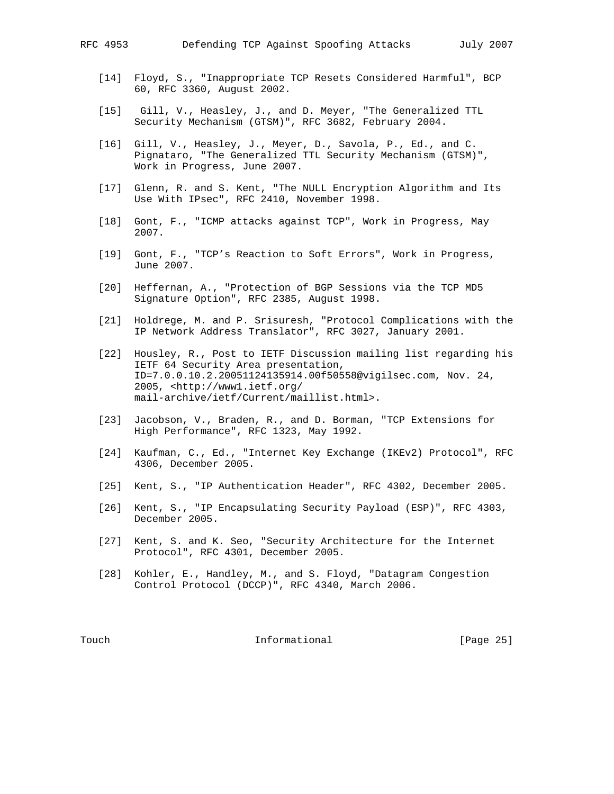- [14] Floyd, S., "Inappropriate TCP Resets Considered Harmful", BCP 60, RFC 3360, August 2002.
- [15] Gill, V., Heasley, J., and D. Meyer, "The Generalized TTL Security Mechanism (GTSM)", RFC 3682, February 2004.
- [16] Gill, V., Heasley, J., Meyer, D., Savola, P., Ed., and C. Pignataro, "The Generalized TTL Security Mechanism (GTSM)", Work in Progress, June 2007.
- [17] Glenn, R. and S. Kent, "The NULL Encryption Algorithm and Its Use With IPsec", RFC 2410, November 1998.
- [18] Gont, F., "ICMP attacks against TCP", Work in Progress, May 2007.
- [19] Gont, F., "TCP's Reaction to Soft Errors", Work in Progress, June 2007.
- [20] Heffernan, A., "Protection of BGP Sessions via the TCP MD5 Signature Option", RFC 2385, August 1998.
- [21] Holdrege, M. and P. Srisuresh, "Protocol Complications with the IP Network Address Translator", RFC 3027, January 2001.
	- [22] Housley, R., Post to IETF Discussion mailing list regarding his IETF 64 Security Area presentation, ID=7.0.0.10.2.20051124135914.00f50558@vigilsec.com, Nov. 24, 2005, <http://www1.ietf.org/ mail-archive/ietf/Current/maillist.html>.
	- [23] Jacobson, V., Braden, R., and D. Borman, "TCP Extensions for High Performance", RFC 1323, May 1992.
	- [24] Kaufman, C., Ed., "Internet Key Exchange (IKEv2) Protocol", RFC 4306, December 2005.
	- [25] Kent, S., "IP Authentication Header", RFC 4302, December 2005.
	- [26] Kent, S., "IP Encapsulating Security Payload (ESP)", RFC 4303, December 2005.
	- [27] Kent, S. and K. Seo, "Security Architecture for the Internet Protocol", RFC 4301, December 2005.
	- [28] Kohler, E., Handley, M., and S. Floyd, "Datagram Congestion Control Protocol (DCCP)", RFC 4340, March 2006.

Touch **Informational Informational** [Page 25]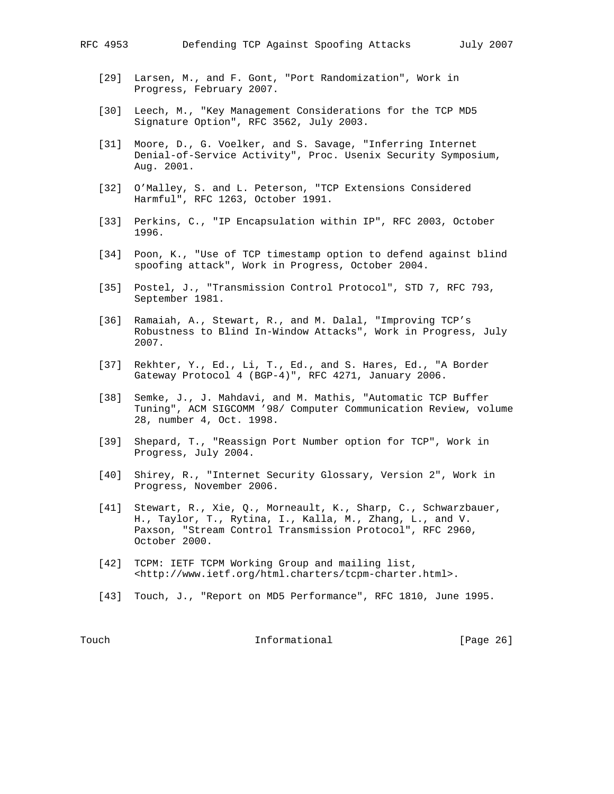- - [29] Larsen, M., and F. Gont, "Port Randomization", Work in Progress, February 2007.
	- [30] Leech, M., "Key Management Considerations for the TCP MD5 Signature Option", RFC 3562, July 2003.
	- [31] Moore, D., G. Voelker, and S. Savage, "Inferring Internet Denial-of-Service Activity", Proc. Usenix Security Symposium, Aug. 2001.
	- [32] O'Malley, S. and L. Peterson, "TCP Extensions Considered Harmful", RFC 1263, October 1991.
	- [33] Perkins, C., "IP Encapsulation within IP", RFC 2003, October 1996.
	- [34] Poon, K., "Use of TCP timestamp option to defend against blind spoofing attack", Work in Progress, October 2004.
	- [35] Postel, J., "Transmission Control Protocol", STD 7, RFC 793, September 1981.
	- [36] Ramaiah, A., Stewart, R., and M. Dalal, "Improving TCP's Robustness to Blind In-Window Attacks", Work in Progress, July 2007.
	- [37] Rekhter, Y., Ed., Li, T., Ed., and S. Hares, Ed., "A Border Gateway Protocol 4 (BGP-4)", RFC 4271, January 2006.
	- [38] Semke, J., J. Mahdavi, and M. Mathis, "Automatic TCP Buffer Tuning", ACM SIGCOMM '98/ Computer Communication Review, volume 28, number 4, Oct. 1998.
	- [39] Shepard, T., "Reassign Port Number option for TCP", Work in Progress, July 2004.
	- [40] Shirey, R., "Internet Security Glossary, Version 2", Work in Progress, November 2006.
	- [41] Stewart, R., Xie, Q., Morneault, K., Sharp, C., Schwarzbauer, H., Taylor, T., Rytina, I., Kalla, M., Zhang, L., and V. Paxson, "Stream Control Transmission Protocol", RFC 2960, October 2000.
	- [42] TCPM: IETF TCPM Working Group and mailing list, <http://www.ietf.org/html.charters/tcpm-charter.html>.
	- [43] Touch, J., "Report on MD5 Performance", RFC 1810, June 1995.

Touch **Informational Informational** [Page 26]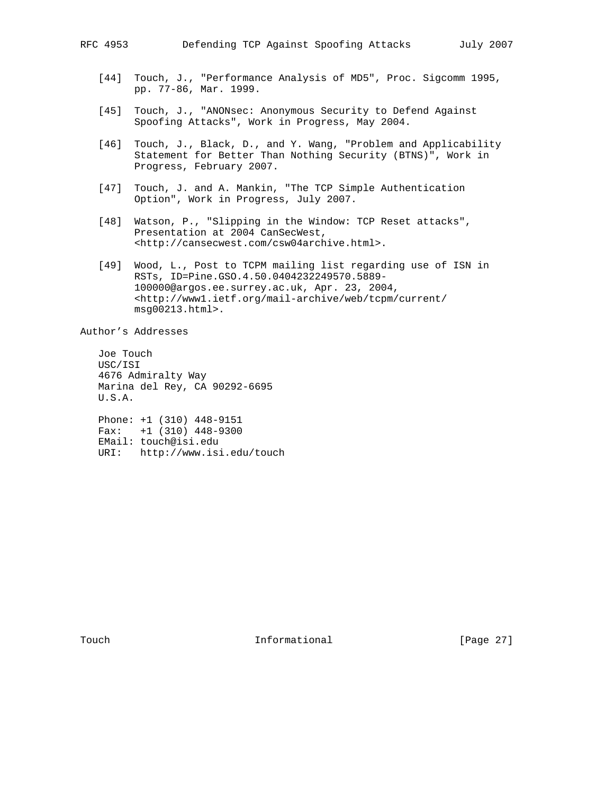- [44] Touch, J., "Performance Analysis of MD5", Proc. Sigcomm 1995, pp. 77-86, Mar. 1999.
- [45] Touch, J., "ANONsec: Anonymous Security to Defend Against Spoofing Attacks", Work in Progress, May 2004.
- [46] Touch, J., Black, D., and Y. Wang, "Problem and Applicability Statement for Better Than Nothing Security (BTNS)", Work in Progress, February 2007.
- [47] Touch, J. and A. Mankin, "The TCP Simple Authentication Option", Work in Progress, July 2007.
- [48] Watson, P., "Slipping in the Window: TCP Reset attacks", Presentation at 2004 CanSecWest, <http://cansecwest.com/csw04archive.html>.
- [49] Wood, L., Post to TCPM mailing list regarding use of ISN in RSTs, ID=Pine.GSO.4.50.0404232249570.5889- 100000@argos.ee.surrey.ac.uk, Apr. 23, 2004, <http://www1.ietf.org/mail-archive/web/tcpm/current/ msg00213.html>.

Author's Addresses

 Joe Touch USC/ISI 4676 Admiralty Way Marina del Rey, CA 90292-6695 U.S.A. Phone: +1 (310) 448-9151 Fax: +1 (310) 448-9300 EMail: touch@isi.edu

URI: http://www.isi.edu/touch

Touch **Informational Informational** [Page 27]